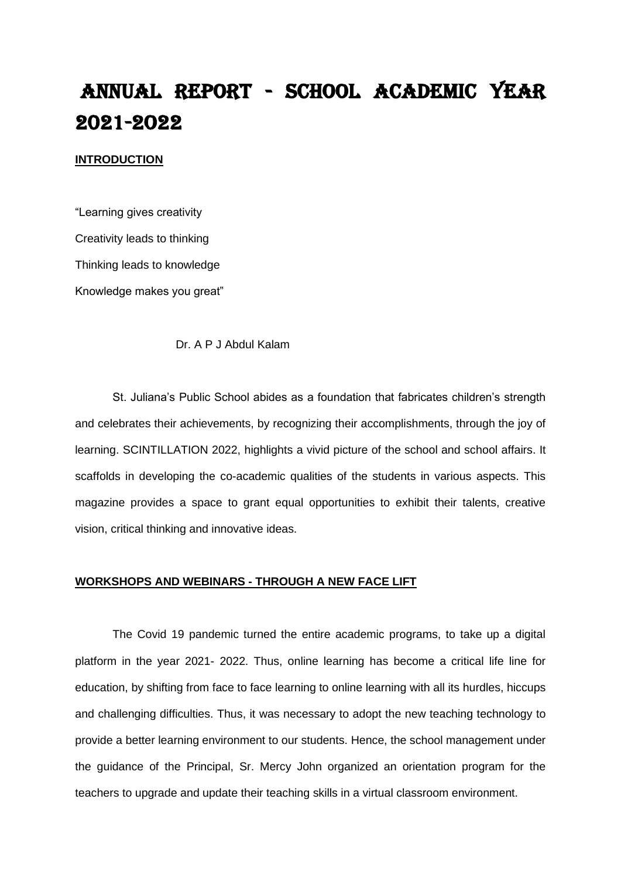# ANNUAL REPORT - SCHOOL ACADEMIC YEAR 2021-2O22

#### **INTRODUCTION**

"Learning gives creativity Creativity leads to thinking Thinking leads to knowledge Knowledge makes you great"

Dr. A P J Abdul Kalam

St. Juliana's Public School abides as a foundation that fabricates children's strength and celebrates their achievements, by recognizing their accomplishments, through the joy of learning. SCINTILLATION 2022, highlights a vivid picture of the school and school affairs. It scaffolds in developing the co-academic qualities of the students in various aspects. This magazine provides a space to grant equal opportunities to exhibit their talents, creative vision, critical thinking and innovative ideas.

#### **WORKSHOPS AND WEBINARS - THROUGH A NEW FACE LIFT**

The Covid 19 pandemic turned the entire academic programs, to take up a digital platform in the year 2021- 2022. Thus, online learning has become a critical life line for education, by shifting from face to face learning to online learning with all its hurdles, hiccups and challenging difficulties. Thus, it was necessary to adopt the new teaching technology to provide a better learning environment to our students. Hence, the school management under the guidance of the Principal, Sr. Mercy John organized an orientation program for the teachers to upgrade and update their teaching skills in a virtual classroom environment.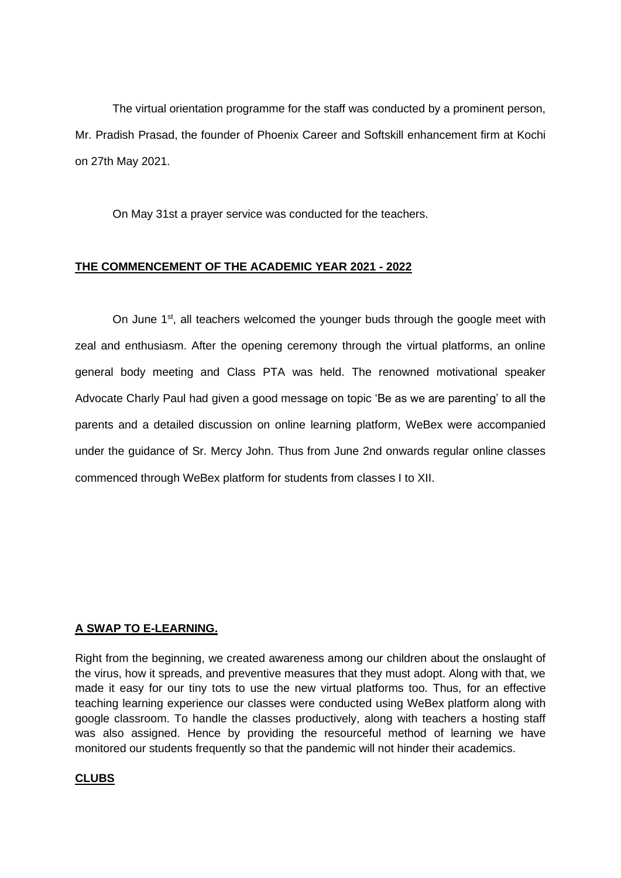The virtual orientation programme for the staff was conducted by a prominent person, Mr. Pradish Prasad, the founder of Phoenix Career and Softskill enhancement firm at Kochi on 27th May 2021.

On May 31st a prayer service was conducted for the teachers.

## **THE COMMENCEMENT OF THE ACADEMIC YEAR 2021 - 2022**

On June 1<sup>st</sup>, all teachers welcomed the younger buds through the google meet with zeal and enthusiasm. After the opening ceremony through the virtual platforms, an online general body meeting and Class PTA was held. The renowned motivational speaker Advocate Charly Paul had given a good message on topic 'Be as we are parenting' to all the parents and a detailed discussion on online learning platform, WeBex were accompanied under the guidance of Sr. Mercy John. Thus from June 2nd onwards regular online classes commenced through WeBex platform for students from classes I to XII.

### **A SWAP TO E-LEARNING.**

Right from the beginning, we created awareness among our children about the onslaught of the virus, how it spreads, and preventive measures that they must adopt. Along with that, we made it easy for our tiny tots to use the new virtual platforms too. Thus, for an effective teaching learning experience our classes were conducted using WeBex platform along with google classroom. To handle the classes productively, along with teachers a hosting staff was also assigned. Hence by providing the resourceful method of learning we have monitored our students frequently so that the pandemic will not hinder their academics.

### **CLUBS**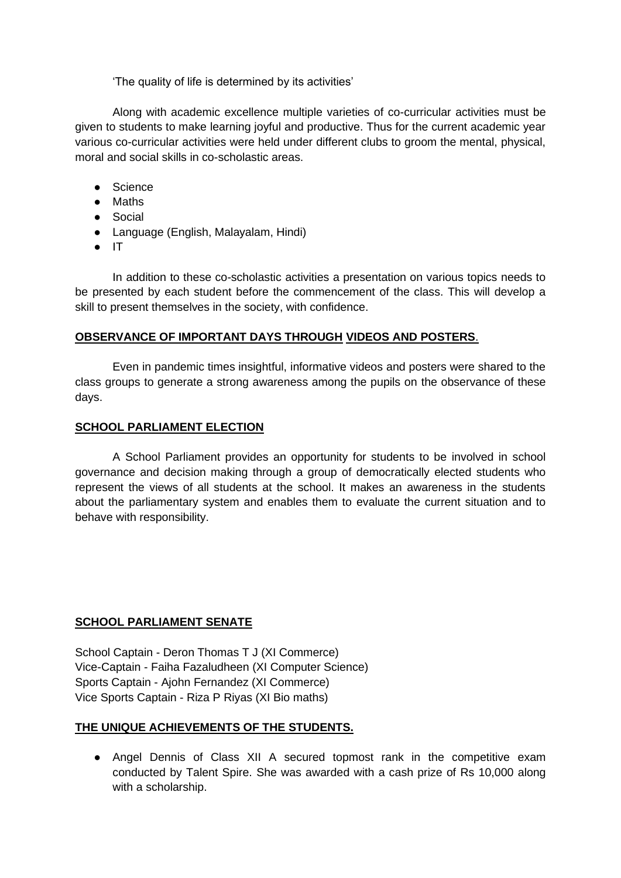'The quality of life is determined by its activities'

Along with academic excellence multiple varieties of co-curricular activities must be given to students to make learning joyful and productive. Thus for the current academic year various co-curricular activities were held under different clubs to groom the mental, physical, moral and social skills in co-scholastic areas.

- Science
- Maths
- Social
- Language (English, Malayalam, Hindi)
- IT

In addition to these co-scholastic activities a presentation on various topics needs to be presented by each student before the commencement of the class. This will develop a skill to present themselves in the society, with confidence.

### **OBSERVANCE OF IMPORTANT DAYS THROUGH VIDEOS AND POSTERS**.

Even in pandemic times insightful, informative videos and posters were shared to the class groups to generate a strong awareness among the pupils on the observance of these days.

### **SCHOOL PARLIAMENT ELECTION**

A School Parliament provides an opportunity for students to be involved in school governance and decision making through a group of democratically elected students who represent the views of all students at the school. It makes an awareness in the students about the parliamentary system and enables them to evaluate the current situation and to behave with responsibility.

### **SCHOOL PARLIAMENT SENATE**

School Captain - Deron Thomas T J (XI Commerce) Vice-Captain - Faiha Fazaludheen (XI Computer Science) Sports Captain - Ajohn Fernandez (XI Commerce) Vice Sports Captain - Riza P Riyas (XI Bio maths)

## **THE UNIQUE ACHIEVEMENTS OF THE STUDENTS.**

● Angel Dennis of Class XII A secured topmost rank in the competitive exam conducted by Talent Spire. She was awarded with a cash prize of Rs 10,000 along with a scholarship.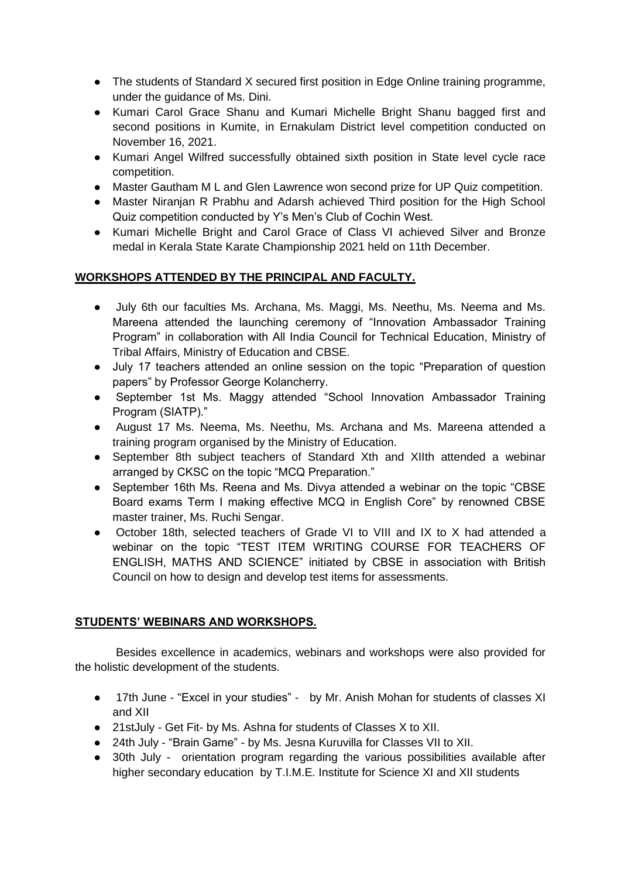- The students of Standard X secured first position in Edge Online training programme, under the guidance of Ms. Dini.
- Kumari Carol Grace Shanu and Kumari Michelle Bright Shanu bagged first and second positions in Kumite, in Ernakulam District level competition conducted on November 16, 2021.
- Kumari Angel Wilfred successfully obtained sixth position in State level cycle race competition.
- Master Gautham M L and Glen Lawrence won second prize for UP Quiz competition.
- Master Niranjan R Prabhu and Adarsh achieved Third position for the High School Quiz competition conducted by Y's Men's Club of Cochin West.
- Kumari Michelle Bright and Carol Grace of Class VI achieved Silver and Bronze medal in Kerala State Karate Championship 2021 held on 11th December.

## **WORKSHOPS ATTENDED BY THE PRINCIPAL AND FACULTY.**

- July 6th our faculties Ms. Archana, Ms. Maggi, Ms. Neethu, Ms. Neema and Ms. Mareena attended the launching ceremony of "Innovation Ambassador Training Program" in collaboration with All India Council for Technical Education, Ministry of Tribal Affairs, Ministry of Education and CBSE.
- July 17 teachers attended an online session on the topic "Preparation of question papers" by Professor George Kolancherry.
- September 1st Ms. Maggy attended "School Innovation Ambassador Training Program (SIATP)."
- August 17 Ms. Neema, Ms. Neethu, Ms. Archana and Ms. Mareena attended a training program organised by the Ministry of Education.
- September 8th subject teachers of Standard Xth and XIIth attended a webinar arranged by CKSC on the topic "MCQ Preparation."
- September 16th Ms. Reena and Ms. Divya attended a webinar on the topic "CBSE Board exams Term I making effective MCQ in English Core" by renowned CBSE master trainer, Ms. Ruchi Sengar.
- October 18th, selected teachers of Grade VI to VIII and IX to X had attended a webinar on the topic "TEST ITEM WRITING COURSE FOR TEACHERS OF ENGLISH, MATHS AND SCIENCE" initiated by CBSE in association with British Council on how to design and develop test items for assessments.

## **STUDENTS' WEBINARS AND WORKSHOPS.**

Besides excellence in academics, webinars and workshops were also provided for the holistic development of the students.

- 17th June "Excel in your studies" by Mr. Anish Mohan for students of classes XI and XII
- 21stJuly Get Fit- by Ms. Ashna for students of Classes X to XII.
- 24th July "Brain Game" by Ms. Jesna Kuruvilla for Classes VII to XII.
- 30th July orientation program regarding the various possibilities available after higher secondary education by T.I.M.E. Institute for Science XI and XII students